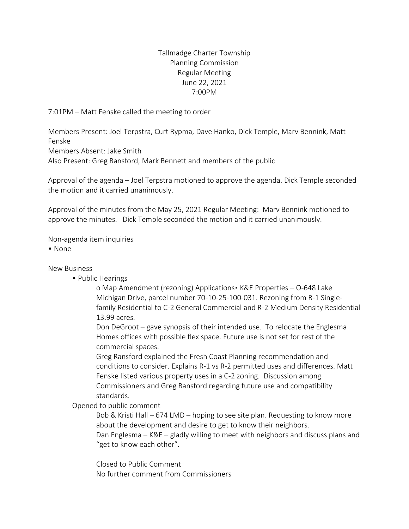# Tallmadge Charter Township Planning Commission Regular Meeting June 22, 2021 7:00PM

7:01PM – Matt Fenske called the meeting to order

Members Present: Joel Terpstra, Curt Rypma, Dave Hanko, Dick Temple, Marv Bennink, Matt Fenske

Members Absent: Jake Smith

Also Present: Greg Ransford, Mark Bennett and members of the public

Approval of the agenda – Joel Terpstra motioned to approve the agenda. Dick Temple seconded the motion and it carried unanimously.

Approval of the minutes from the May 25, 2021 Regular Meeting: Marv Bennink motioned to approve the minutes. Dick Temple seconded the motion and it carried unanimously.

Non-agenda item inquiries

• None

#### New Business

• Public Hearings

o Map Amendment (rezoning) Applications▪ K&E Properties – O-648 Lake Michigan Drive, parcel number 70-10-25-100-031. Rezoning from R-1 Singlefamily Residential to C-2 General Commercial and R-2 Medium Density Residential 13.99 acres.

Don DeGroot – gave synopsis of their intended use. To relocate the Englesma Homes offices with possible flex space. Future use is not set for rest of the commercial spaces.

Greg Ransford explained the Fresh Coast Planning recommendation and conditions to consider. Explains R-1 vs R-2 permitted uses and differences. Matt Fenske listed various property uses in a C-2 zoning. Discussion among Commissioners and Greg Ransford regarding future use and compatibility standards.

Opened to public comment

Bob & Kristi Hall – 674 LMD – hoping to see site plan. Requesting to know more about the development and desire to get to know their neighbors. Dan Englesma – K&E – gladly willing to meet with neighbors and discuss plans and "get to know each other".

Closed to Public Comment No further comment from Commissioners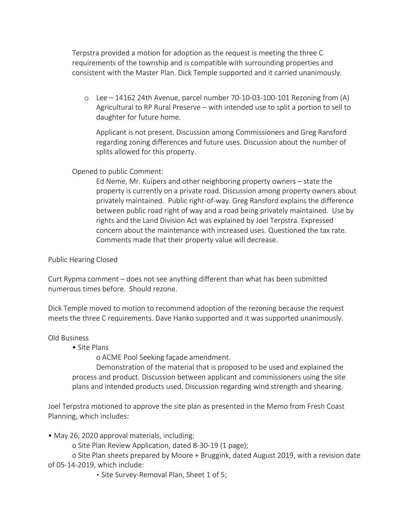Terpstra provided a motion for adoption as the request is meeting the three C requirements of the township and is compatible with surrounding properties and consistent with the Master Plan. Dick Temple supported and it carried unanimously.

o Lee – 14162 24th Avenue, parcel number 70-10-03-100-101 Rezoning from (A) Agricultural to RP Rural Preserve – with intended use to split a portion to sell to daughter for future home.

Applicant is not present. Discussion among Commissioners and Greg Ransford regarding zoning differences and future uses. Discussion about the number of splits allowed for this property.

## Opened to public Comment:

Ed Neme, Mr. Kuipers and other neighboring property owners – state the property is currently on a private road. Discussion among property owners about privately maintained. Public right-of-way. Greg Ransford explains the difference between public road right of way and a road being privately maintained. Use by rights and the Land Division Act was explained by Joel Terpstra. Expressed concern about the maintenance with increased uses. Questioned the tax rate. Comments made that their property value will decrease.

## Public Hearing Closed

Curt Rypma comment – does not see anything different than what has been submitted numerous times before. Should rezone.

Dick Temple moved to motion to recommend adoption of the rezoning because the request meets the three C requirements. Dave Hanko supported and it was supported unanimously.

#### Old Business

• Site Plans

o ACME Pool Seeking façade amendment.

Demonstration of the material that is proposed to be used and explained the process and product. Discussion between applicant and commissioners using the site plans and intended products used. Discussion regarding wind strength and shearing.

Joel Terpstra motioned to approve the site plan as presented in the Memo from Fresh Coast Planning, which includes:

• May 26, 2020 approval materials, including:

o Site Plan Review Application, dated 8-30-19 (1 page);

o Site Plan sheets prepared by Moore + Bruggink, dated August 2019, with a revision date of 05-14-2019, which include:

▪ Site Survey-Removal Plan, Sheet 1 of 5;